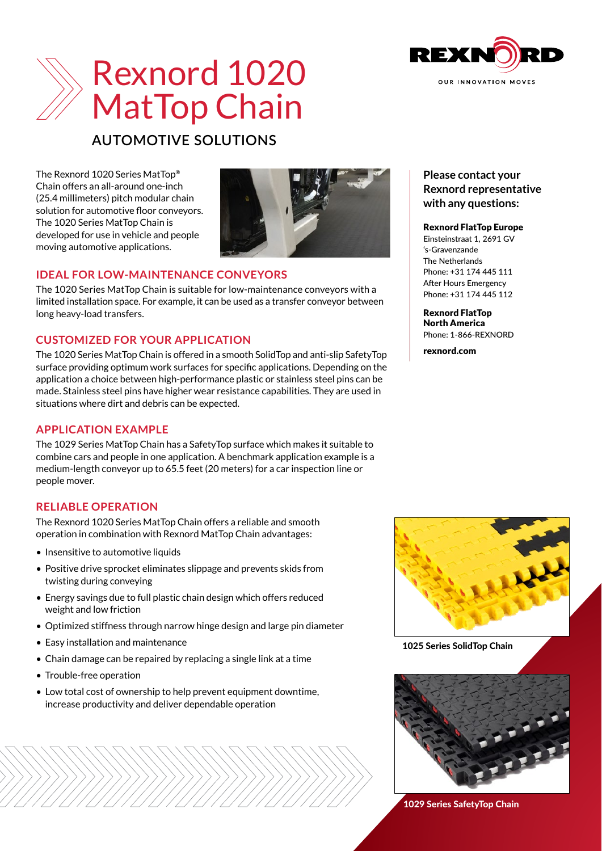



# **AUTOMOTIVE SOLUTIONS**

The Rexnord 1020 Series MatTop® Chain offers an all-around one-inch (25.4 millimeters) pitch modular chain solution for automotive floor conveyors. The 1020 Series MatTop Chain is developed for use in vehicle and people moving automotive applications.



# **IDEAL FOR LOW-MAINTENANCE CONVEYORS**

The 1020 Series MatTop Chain is suitable for low-maintenance conveyors with a limited installation space. For example, it can be used as a transfer conveyor between long heavy-load transfers.

# **CUSTOMIZED FOR YOUR APPLICATION**

The 1020 Series MatTop Chain is offered in a smooth SolidTop and anti-slip SafetyTop surface providing optimum work surfaces for specific applications. Depending on the application a choice between high-performance plastic or stainless steel pins can be made. Stainless steel pins have higher wear resistance capabilities. They are used in situations where dirt and debris can be expected.

### **APPLICATION EXAMPLE**

The 1029 Series MatTop Chain has a SafetyTop surface which makes it suitable to combine cars and people in one application. A benchmark application example is a medium-length conveyor up to 65.5 feet (20 meters) for a car inspection line or people mover.

# **RELIABLE OPERATION**

The Rexnord 1020 Series MatTop Chain offers a reliable and smooth operation in combination with Rexnord MatTop Chain advantages:

- Insensitive to automotive liquids
- Positive drive sprocket eliminates slippage and prevents skids from twisting during conveying
- Energy savings due to full plastic chain design which offers reduced weight and low friction
- Optimized stiffness through narrow hinge design and large pin diameter
- Easy installation and maintenance
- Chain damage can be repaired by replacing a single link at a time
- Trouble-free operation
- Low total cost of ownership to help prevent equipment downtime. increase productivity and deliver dependable operation

### **Please contact your Rexnord representative with any questions:**

### Rexnord FlatTop Europe

Einsteinstraat 1, 2691 GV 's-Gravenzande The Netherlands Phone: +31 174 445 111 After Hours Emergency Phone: +31 174 445 112

Rexnord FlatTop North America Phone: 1-866-REXNORD

[rexnord.com](http://www.rexnord.com)



1025 Series SolidTop Chain



1029 Series SafetyTop Chain